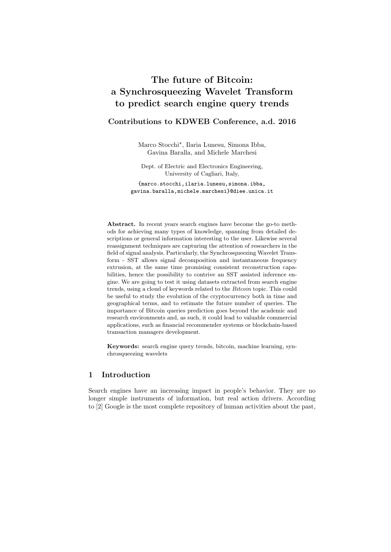# The future of Bitcoin: a Synchrosqueezing Wavelet Transform to predict search engine query trends

# Contributions to KDWEB Conference, a.d. 2016

Marco Stocchi<sup>\*</sup>, Ilaria Lunesu, Simona Ibba, Gavina Baralla, and Michele Marchesi

Dept. of Electric and Electronics Engineering, University of Cagliari, Italy,

{marco.stocchi, ilaria.lunesu, simona.ibba, gavina.baralla, michele.marchesi}@diee.unica.it

**Abstract.** In recent years search engines have become the go-to methods for achieving many types of knowledge, spanning from detailed descriptions or general information interesting to the user. Likewise several reassignment techniques are capturing the attention of researchers in the field of signal analysis. Particularly, the Synchrosqueezing Wavelet Transform - SST allows signal decomposition and instantaneous frequency extrusion, at the same time promising consistent reconstruction capabilities, hence the possibility to contrive an SST assisted inference engine. We are going to test it using datasets extracted from search engine trends, using a cloud of keywords related to the *Bitcoin* topic. This could be useful to study the evolution of the cryptocurrency both in time and geographical terms, and to estimate the future number of queries. The importance of Bitcoin queries prediction goes beyond the academic and research environments and, as such, it could lead to valuable commercial applications, such as financial recommender systems or blockchain-based transaction managers development.

Keywords: search engine query trends, bitcoin, machine learning, synchrosqueezing wavelets

#### $\mathbf{1}$ Introduction

Search engines have an increasing impact in people's behavior. They are no longer simple instruments of information, but real action drivers. According to [2] Google is the most complete repository of human activities about the past,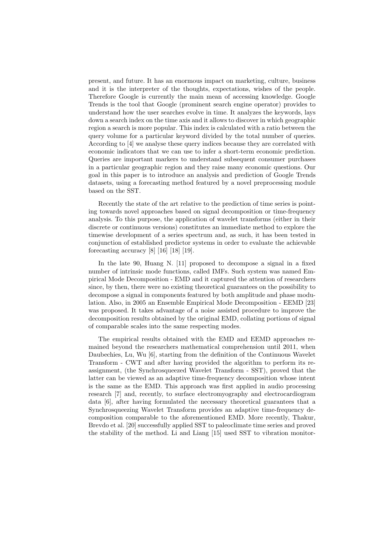present, and future. It has an enormous impact on marketing, culture, business and it is the interpreter of the thoughts, expectations, wishes of the people. Therefore Google is currently the main mean of accessing knowledge. Google Trends is the tool that Google (prominent search engine operator) provides to understand how the user searches evolve in time. It analyzes the keywords, lays down a search index on the time axis and it allows to discover in which geographic region a search is more popular. This index is calculated with a ratio between the query volume for a particular keyword divided by the total number of queries. According to [4] we analyse these query indices because they are correlated with economic indicators that we can use to infer a short-term economic prediction. Queries are important markers to understand subsequent consumer purchases in a particular geographic region and they raise many economic questions. Our goal in this paper is to introduce an analysis and prediction of Google Trends datasets, using a forecasting method featured by a novel preprocessing module based on the SST.

Recently the state of the art relative to the prediction of time series is pointing towards novel approaches based on signal decomposition or time-frequency analysis. To this purpose, the application of wavelet transforms (either in their discrete or continuous versions) constitutes an immediate method to explore the timewise development of a series spectrum and, as such, it has been tested in conjunction of established predictor systems in order to evaluate the achievable forecasting accuracy  $[8]$   $[16]$   $[18]$   $[19]$ .

In the late 90, Huang N. [11] proposed to decompose a signal in a fixed number of intrinsic mode functions, called IMFs. Such system was named Empirical Mode Decomposition - EMD and it captured the attention of researchers since, by then, there were no existing theoretical guarantees on the possibility to decompose a signal in components featured by both amplitude and phase modulation. Also, in 2005 an Ensemble Empirical Mode Decomposition - EEMD [23] was proposed. It takes advantage of a noise assisted procedure to improve the decomposition results obtained by the original EMD, collating portions of signal of comparable scales into the same respecting modes.

The empirical results obtained with the EMD and EEMD approaches remained beyond the researchers mathematical comprehension until 2011, when Daubechies, Lu, Wu [6], starting from the definition of the Continuous Wavelet Transform - CWT and after having provided the algorithm to perform its reassignment, (the Synchrosqueezed Wavelet Transform - SST), proved that the latter can be viewed as an adaptive time-frequency decomposition whose intent is the same as the EMD. This approach was first applied in audio processing research [7] and, recently, to surface electromyography and electrocardiogram data [6], after having formulated the necessary theoretical guarantees that a Synchrosqueezing Wavelet Transform provides an adaptive time-frequency decomposition comparable to the aforementioned EMD. More recently, Thakur, Brevdo et al. [20] successfully applied SST to paleoclimate time series and proved the stability of the method. Li and Liang [15] used SST to vibration monitor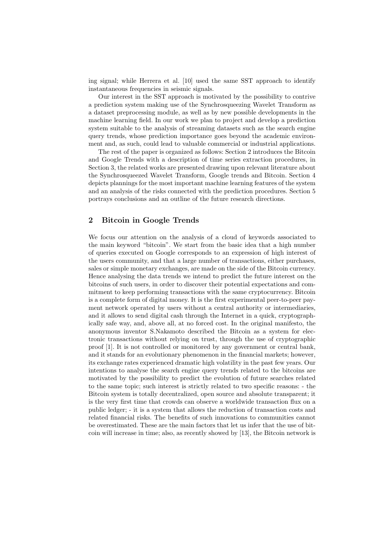ing signal; while Herrera et al. [10] used the same SST approach to identify instantaneous frequencies in seismic signals.

Our interest in the SST approach is motivated by the possibility to contrive a prediction system making use of the Synchrosqueezing Wavelet Transform as a dataset preprocessing module, as well as by new possible developments in the machine learning field. In our work we plan to project and develop a prediction system suitable to the analysis of streaming datasets such as the search engine query trends, whose prediction importance goes beyond the academic environment and, as such, could lead to valuable commercial or industrial applications.

The rest of the paper is organized as follows: Section 2 introduces the Bitcoin and Google Trends with a description of time series extraction procedures, in Section 3, the related works are presented drawing upon relevant literature about the Synchrosqueezed Wavelet Transform, Google trends and Bitcoin. Section 4 depicts plannings for the most important machine learning features of the system and an analysis of the risks connected with the prediction procedures. Section 5 portrays conclusions and an outline of the future research directions.

#### $\overline{2}$ **Bitcoin in Google Trends**

We focus our attention on the analysis of a cloud of keywords associated to the main keyword "bitcoin". We start from the basic idea that a high number of queries executed on Google corresponds to an expression of high interest of the users community, and that a large number of transactions, either purchases, sales or simple monetary exchanges, are made on the side of the Bitcoin currency. Hence analysing the data trends we intend to predict the future interest on the bitcoins of such users, in order to discover their potential expectations and commitment to keep performing transactions with the same cryptocurrency. Bitcoin is a complete form of digital money. It is the first experimental peer-to-peer payment network operated by users without a central authority or intermediaries, and it allows to send digital cash through the Internet in a quick, cryptographically safe way, and, above all, at no forced cost. In the original manifesto, the anonymous inventor S.Nakamoto described the Bitcoin as a system for electronic transactions without relying on trust, through the use of cryptographic proof [1]. It is not controlled or monitored by any government or central bank, and it stands for an evolutionary phenomenon in the financial markets; however, its exchange rates experienced dramatic high volatility in the past few years. Our intentions to analyse the search engine query trends related to the bitcoins are motivated by the possibility to predict the evolution of future searches related to the same topic; such interest is strictly related to two specific reasons: - the Bitcoin system is totally decentralized, open source and absolute transparent; it is the very first time that crowds can observe a worldwide transaction flux on a public ledger; - it is a system that allows the reduction of transaction costs and related financial risks. The benefits of such innovations to communities cannot be overestimated. These are the main factors that let us infer that the use of bitcoin will increase in time; also, as recently showed by [13], the Bitcoin network is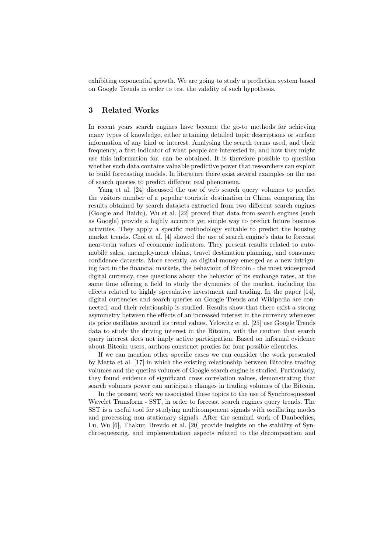exhibiting exponential growth. We are going to study a prediction system based on Google Trends in order to test the validity of such hypothesis.

### 3 **Related Works**

In recent years search engines have become the go-to methods for achieving many types of knowledge, either attaining detailed topic descriptions or surface information of any kind or interest. Analysing the search terms used, and their frequency, a first indicator of what people are interested in, and how they might use this information for, can be obtained. It is therefore possible to question whether such data contains valuable predictive power that researchers can exploit to build forecasting models. In literature there exist several examples on the use of search queries to predict different real phenomena.

Yang et al. [24] discussed the use of web search query volumes to predict the visitors number of a popular touristic destination in China, comparing the results obtained by search datasets extracted from two different search engines (Google and Baidu). Wu et al. [22] proved that data from search engines (such as Google) provide a highly accurate yet simple way to predict future business activities. They apply a specific methodology suitable to predict the housing market trends. Choi et al. [4] showed the use of search engine's data to forecast near-term values of economic indicators. They present results related to automobile sales, unemployment claims, travel destination planning, and consumer confidence datasets. More recently, as digital money emerged as a new intriguing fact in the financial markets, the behaviour of Bitcoin - the most widespread digital currency, rose questions about the behavior of its exchange rates, at the same time offering a field to study the dynamics of the market, including the effects related to highly speculative investment and trading. In the paper  $[14]$ , digital currencies and search queries on Google Trends and Wikipedia are connected, and their relationship is studied. Results show that there exist a strong asymmetry between the effects of an increased interest in the currency whenever its price oscillates around its trend values. Yelowitz et al. [25] use Google Trends data to study the driving interest in the Bitcoin, with the caution that search query interest does not imply active participation. Based on informal evidence about Bitcoin users, authors construct proxies for four possible clienteles.

If we can mention other specific cases we can consider the work presented by Matta et al. [17] in which the existing relationship between Bitcoins trading volumes and the queries volumes of Google search engine is studied. Particularly, they found evidence of significant cross correlation values, demonstrating that search volumes power can anticipate changes in trading volumes of the Bitcoin.

In the present work we associated these topics to the use of Synchrosqueezed Wavelet Transform - SST, in order to forecast search engines query trends. The SST is a useful tool for studying multicomponent signals with oscillating modes and processing non stationary signals. After the seminal work of Daubechies, Lu, Wu [6], Thakur, Brevdo et al. [20] provide insights on the stability of Synchrosqueezing, and implementation aspects related to the decomposition and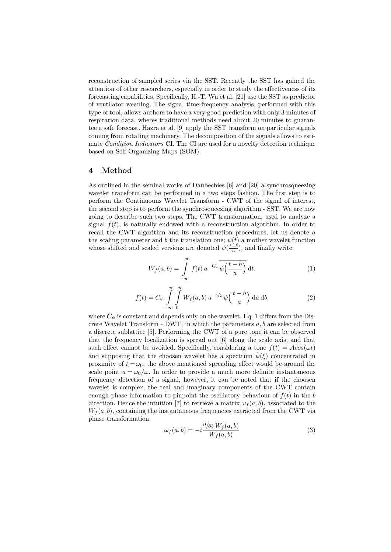reconstruction of sampled series via the SST. Recently the SST has gained the attention of other researchers, especially in order to study the effectiveness of its forecasting capabilities. Specifically, H.-T. Wu et al. [21] use the SST as predictor of ventilator weaning. The signal time-frequency analysis, performed with this type of tool, allows authors to have a very good prediction with only 3 minutes of respiration data, wheres traditional methods need about 20 minutes to guarantee a safe forecast. Hazra et al. [9] apply the SST transform on particular signals coming from rotating machinery. The decomposition of the signals allows to estimate Condition Indicators CI. The CI are used for a novelty detection technique based on Self Organizing Maps (SOM).

#### Method  $\overline{\mathbf{4}}$

As outlined in the seminal works of Daubechies [6] and [20] a synchrosqueezing wavelet transform can be performed in a two steps fashion. The first step is to perform the Continuouns Wavelet Transform - CWT of the signal of interest, the second step is to perform the synchrosqueezing algorithm - SST. We are now going to describe such two steps. The CWT transformation, used to analyze a signal  $f(t)$ , is naturally endowed with a reconstruction algorithm. In order to recall the CWT algorithm and its reconstruction procedures, let us denote  $a$ the scaling parameter and b the translation one;  $\psi(t)$  a mother wavelet function whose shifted and scaled versions are denoted  $\psi(\frac{t-b}{a})$ , and finally write:

$$
W_f(a,b) = \int_{-\infty}^{\infty} f(t) a^{-1/2} \overline{\psi\left(\frac{t-b}{a}\right)} dt.
$$
 (1)

$$
f(t) = C_{\psi} \int_{-\infty}^{\infty} \int_{0}^{\infty} W_f(a, b) a^{-5/2} \psi\left(\frac{t-b}{a}\right) da db,
$$
 (2)

where  $C_{\psi}$  is constant and depends only on the wavelet. Eq. 1 differs from the Discrete Wavelet Transform - DWT, in which the parameters  $a, b$  are selected from a discrete sublattice [5]. Performing the CWT of a pure tone it can be observed that the frequency localization is spread out [6] along the scale axis, and that such effect cannot be avoided. Specifically, considering a tone  $f(t) = A\cos(\omega t)$ and supposing that the choosen wavelet has a spectrum  $\hat{\psi}(\xi)$  concentrated in proximity of  $\xi = \omega_0$ , the above mentioned spreading effect would be around the scale point  $a = \omega_0/\omega$ . In order to provide a much more definite instantaneous frequency detection of a signal, however, it can be noted that if the choosen wavelet is complex, the real and imaginary components of the CWT contain enough phase information to pinpoint the oscillatory behaviour of  $f(t)$  in the b direction. Hence the intuition [7] to retrieve a matrix  $\omega_f(a, b)$ , associated to the  $W_f(a, b)$ , containing the instantaneous frequencies extracted from the CWT via phase transformation:

$$
\omega_f(a,b) = -i \frac{\partial / \partial b W_f(a,b)}{W_f(a,b)} \tag{3}
$$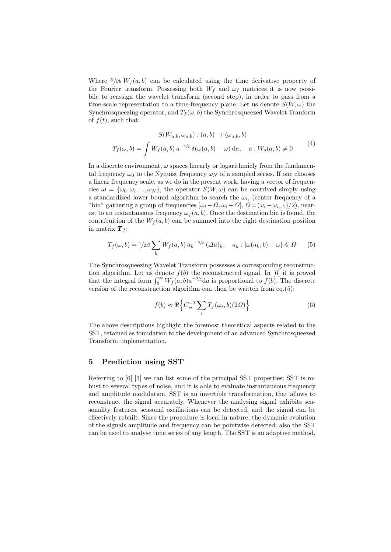Where  $\partial/\partial b$   $W_f(a, b)$  can be calculated using the time derivative property of the Fourier transform. Possessing both  $W_f$  and  $\omega_f$  matrices it is now possibile to reassign the wavelet transform (second step), in order to pass from a time-scale representation to a time-frequency plane. Let us denote  $S(W, \omega)$  the Synchrosqueezing operator, and  $T_f(\omega, b)$  the Synchrosqueezed Wavelet Tranform of  $f(t)$ , such that:

$$
S(W_{a,b}, \omega_{a,b}) : (a,b) \to (\omega_{a,b}, b)
$$

$$
T_f(\omega, b) = \int W_f(a,b) a^{-3/2} \delta(\omega(a,b) - \omega) da, \quad a : W_s(a,b) \neq 0
$$
 (4)

In a discrete environment,  $\omega$  spaces linearly or logarithmicly from the fundamental frequency  $\omega_0$  to the Nyquist frequency  $\omega_N$  of a sampled series. If one chooses a linear frequency scale, as we do in the present work, having a vector of frequencies  $\omega = {\omega_0, \omega_i, ..., \omega_N}$ , the operator  $S(W, \omega)$  can be contrived simply using a standardized lower bound algorithm to search the  $\omega_i$ , (center frequency of a "bin" gathering a group of frequencies  $[\omega_i - \Omega, \omega_i + \Omega], \Omega = (\omega_i - \omega_{i-1})/2$ , nearest to an instantaneous frequency  $\omega_f(a, b)$ . Once the destination bin is found, the contribuition of the  $W_f(a, b)$  can be summed into the right destination position in matrix  $\boldsymbol{T}_f$ :

$$
T_f(\omega, b) = 1/2\Omega \sum_k W_f(a, b) a_k^{-3/2} (\Delta a)_k, \quad a_k : |\omega(a_k, b) - \omega| \leq \Omega \qquad (5)
$$

The Synchrosqueezing Wavelet Transform possesses a corresponding reconstruction algorithm. Let us denote  $f(b)$  the reconstructed signal. In [6] it is proved that the integral form  $\int_0^\infty W_f(a,b)a^{-3/2}da$  is proportional to  $f(b)$ . The discrete version of the reconstruction algorithm can then be written from eq. $(5)$ :

$$
f(b) \approx \Re\Big\{C_{\psi}^{-1}\sum_{i}T_{f}(\omega_{i},b)(2\Omega)\Big\} \tag{6}
$$

The above descriptions highlight the foremost theoretical aspects related to the SST, retained as foundation to the development of an advanced Synchrosqueezed Transform implementation.

#### $\overline{5}$ Prediction using SST

Referring to [6] [3] we can list some of the principal SST properties: SST is robust to several types of noise, and it is able to evaluate instantaneous frequency and amplitude modulation. SST is an invertible transformation, that allows to reconstruct the signal accurately. Whenever the analysing signal exhibits seasonality features, seasonal oscillations can be detected, and the signal can be effectively rebuilt. Since the procedure is local in nature, the dynamic evolution of the signals amplitude and frequency can be pointwise detected; also the SST can be used to analyse time series of any length. The SST is an adaptive method,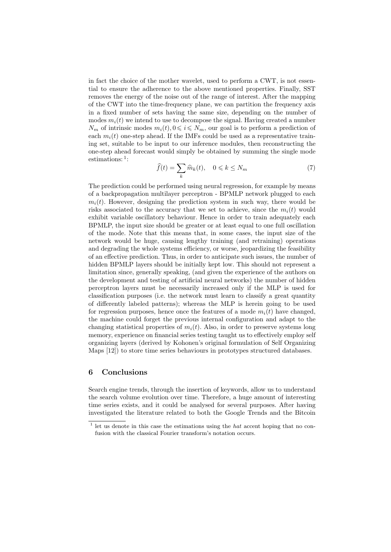in fact the choice of the mother wavelet, used to perform a CWT, is not essential to ensure the adherence to the above mentioned properties. Finally, SST removes the energy of the noise out of the range of interest. After the mapping of the CWT into the time-frequency plane, we can partition the frequency axis in a fixed number of sets having the same size, depending on the number of modes  $m_i(t)$  we intend to use to decompose the signal. Having created a number  $N_m$  of intrinsic modes  $m_i(t), 0 \leq i \leq N_m$ , our goal is to perform a prediction of each  $m_i(t)$  one-step ahead. If the IMFs could be used as a representative training set, suitable to be input to our inference modules, then reconstructing the one-step ahead forecast would simply be obtained by summing the single mode estimations:  $\frac{1}{1}$ :

$$
\widehat{f}(t) = \sum_{k} \widehat{m}_{k}(t), \quad 0 \leqslant k \leq N_{m} \tag{7}
$$

The prediction could be performed using neural regression, for example by means of a backpropagation multilayer perceptron - BPMLP network plugged to each  $m_i(t)$ . However, designing the prediction system in such way, there would be risks associated to the accuracy that we set to achieve, since the  $m_i(t)$  would exhibit variable oscillatory behaviour. Hence in order to train adequately each BPMLP, the input size should be greater or at least equal to one full oscillation of the mode. Note that this means that, in some cases, the input size of the network would be huge, causing lengthy training (and retraining) operations and degrading the whole systems efficiency, or worse, jeopardizing the feasibility of an effective prediction. Thus, in order to anticipate such issues, the number of hidden BPMLP layers should be initially kept low. This should not represent a limitation since, generally speaking, (and given the experience of the authors on the development and testing of artificial neural networks) the number of hidden perceptron layers must be necessarily increased only if the MLP is used for classification purposes (i.e. the network must learn to classify a great quantity of differently labeled patterns); whereas the MLP is herein going to be used for regression purposes, hence once the features of a mode  $m_i(t)$  have changed, the machine could forget the previous internal configuration and adapt to the changing statistical properties of  $m_i(t)$ . Also, in order to preserve systems long memory, experience on financial series testing taught us to effectively employ self organizing layers (derived by Kohonen's original formulation of Self Organizing Maps [12]) to store time series behaviours in prototypes structured databases.

### Conclusions 6

Search engine trends, through the insertion of keywords, allow us to understand the search volume evolution over time. Therefore, a huge amount of interesting time series exists, and it could be analysed for several purposes. After having investigated the literature related to both the Google Trends and the Bitcoin

 $1$  let us denote in this case the estimations using the *hat* accent hoping that no confusion with the classical Fourier transform's notation occurs.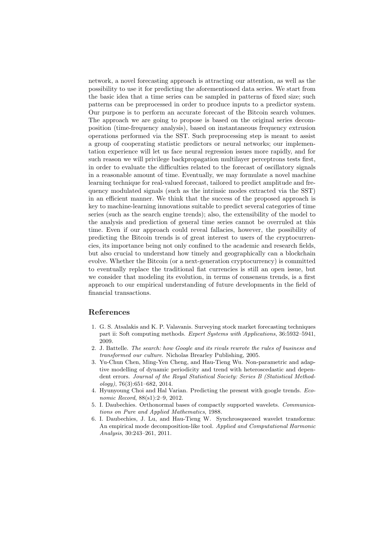network, a novel forecasting approach is attracting our attention, as well as the possibility to use it for predicting the aforementioned data series. We start from the basic idea that a time series can be sampled in patterns of fixed size; such patterns can be preprocessed in order to produce inputs to a predictor system. Our purpose is to perform an accurate forecast of the Bitcoin search volumes. The approach we are going to propose is based on the original series decomposition (time-frequency analysis), based on instantaneous frequency extrusion operations performed via the SST. Such preprocessing step is meant to assist a group of cooperating statistic predictors or neural networks; our implementation experience will let us face neural regression issues more rapidly, and for such reason we will privilege backpropagation multilayer perceptrons tests first, in order to evaluate the difficulties related to the forecast of oscillatory signals in a reasonable amount of time. Eventually, we may formulate a novel machine learning technique for real-valued forecast, tailored to predict amplitude and frequency modulated signals (such as the intrinsic modes extracted via the SST) in an efficient manner. We think that the success of the proposed approach is key to machine-learning innovations suitable to predict several categories of time series (such as the search engine trends); also, the extensibility of the model to the analysis and prediction of general time series cannot be overruled at this time. Even if our approach could reveal fallacies, however, the possibility of predicting the Bitcoin trends is of great interest to users of the cryptocurrencies, its importance being not only confined to the academic and research fields, but also crucial to understand how timely and geographically can a blockchain evolve. Whether the Bitcoin (or a next-generation cryptocurrency) is committed to eventually replace the traditional fiat currencies is still an open issue, but we consider that modeling its evolution, in terms of consensus trends, is a first approach to our empirical understanding of future developments in the field of financial transactions.

## References

- 1. G. S. Atsalakis and K. P. Valavanis. Surveying stock market forecasting techniques part ii: Soft computing methods. Expert Systems with Applications, 36:5932-5941, 2009.
- 2. J. Battelle. The search: how Google and its rivals rewrote the rules of business and transformed our culture. Nicholas Brearley Publishing, 2005.
- 3. Yu-Chun Chen, Ming-Yen Cheng, and Hau-Tieng Wu. Non-parametric and adaptive modelling of dynamic periodicity and trend with heteroscedastic and dependent errors. Journal of the Royal Statistical Society: Series B (Statistical Method $ology$ , 76(3):651-682, 2014.
- 4. Hyunyoung Choi and Hal Varian. Predicting the present with google trends. Economic Record, 88(s1):2-9, 2012.
- 5. I. Daubechies. Orthonormal bases of compactly supported wavelets. Communications on Pure and Applied Mathematics, 1988.
- 6. I. Daubechies, J. Lu, and Hau-Tieng W. Synchrosqueezed wavelet transforms: An empirical mode decomposition-like tool. Applied and Computational Harmonic Analysis, 30:243-261, 2011.